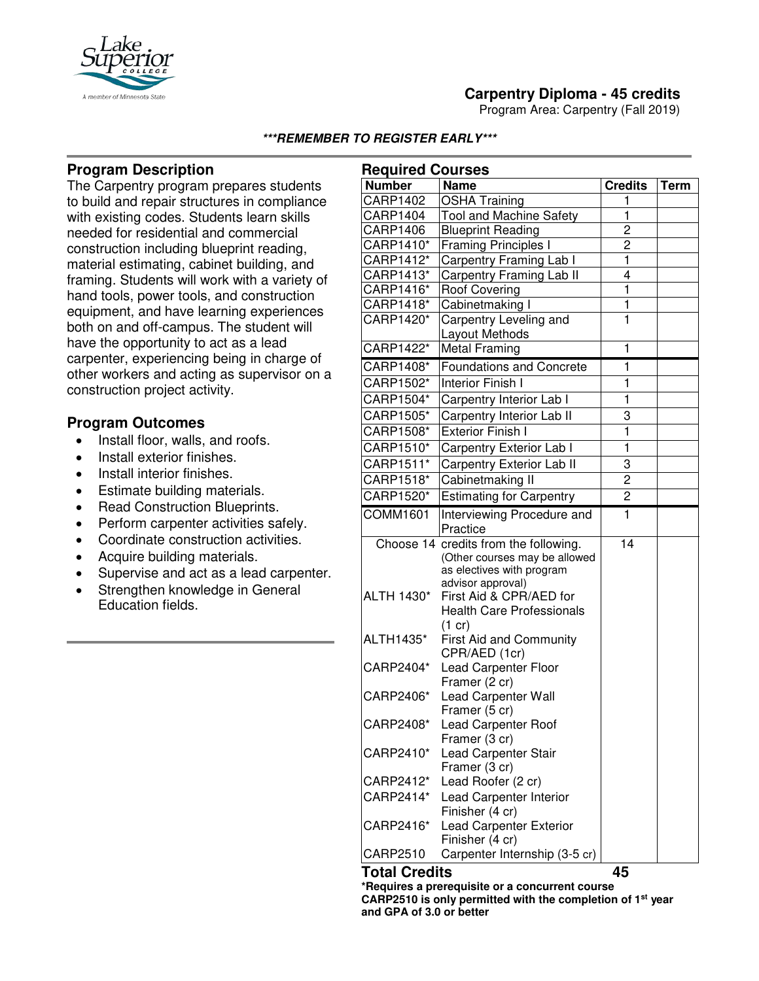

Program Area: Carpentry (Fall 2019)



# **Program Description**

A member of Minnesota Sta

The Carpentry program prepares students to build and repair structures in compliance with existing codes. Students learn skills needed for residential and commercial construction including blueprint reading, material estimating, cabinet building, and framing. Students will work with a variety of hand tools, power tools, and construction equipment, and have learning experiences both on and off-campus. The student will have the opportunity to act as a lead carpenter, experiencing being in charge of other workers and acting as supervisor on a construction project activity.

## **Program Outcomes**

- Install floor, walls, and roofs.
- Install exterior finishes.
- Install interior finishes.
- Estimate building materials.
- Read Construction Blueprints.
- Perform carpenter activities safely.
- Coordinate construction activities.
- Acquire building materials.
- Supervise and act as a lead carpenter.
- Strengthen knowledge in General Education fields.

| <b>Required Courses</b> |                                                |                         |             |
|-------------------------|------------------------------------------------|-------------------------|-------------|
| <b>Number</b>           | <b>Name</b>                                    | <b>Credits</b>          | <b>Term</b> |
| <b>CARP1402</b>         | <b>OSHA Training</b>                           | 1                       |             |
| CARP1404                | <b>Tool and Machine Safety</b>                 | 1                       |             |
| CARP1406                | <b>Blueprint Reading</b>                       | 2                       |             |
| CARP1410*               | <b>Framing Principles I</b>                    | $\overline{c}$          |             |
| CARP1412*               | Carpentry Framing Lab I                        | 1                       |             |
| CARP1413*               | <b>Carpentry Framing Lab II</b>                | 4                       |             |
| CARP1416*               | <b>Roof Covering</b>                           | 1                       |             |
| CARP1418*               | Cabinetmaking I                                | $\mathbf{1}$            |             |
| CARP1420*               | Carpentry Leveling and                         | 1                       |             |
| CARP1422*               | Layout Methods<br><b>Metal Framing</b>         | 1                       |             |
|                         |                                                |                         |             |
| CARP1408*               | <b>Foundations and Concrete</b>                | 1                       |             |
| CARP1502*               | Interior Finish I                              | 1                       |             |
| CARP1504*               | Carpentry Interior Lab I                       | 1                       |             |
| CARP1505*               | Carpentry Interior Lab II                      | 3                       |             |
| CARP1508*               | <b>Exterior Finish I</b>                       | $\overline{\mathbf{1}}$ |             |
| CARP1510*               | Carpentry Exterior Lab I                       | $\mathbf{1}$            |             |
| CARP1511*               | Carpentry Exterior Lab II                      | 3                       |             |
| CARP1518*               | Cabinetmaking II                               | 2                       |             |
| CARP1520*               | <b>Estimating for Carpentry</b>                | $\overline{c}$          |             |
| COMM1601                | Interviewing Procedure and                     | 1                       |             |
|                         | Practice                                       |                         |             |
|                         | Choose 14 credits from the following.          | 14                      |             |
|                         | (Other courses may be allowed                  |                         |             |
|                         | as electives with program<br>advisor approval) |                         |             |
| ALTH 1430*              | First Aid & CPR/AED for                        |                         |             |
|                         | <b>Health Care Professionals</b>               |                         |             |
|                         | $(1 \text{ cr})$                               |                         |             |
| ALTH1435*               | <b>First Aid and Community</b>                 |                         |             |
|                         | CPR/AED (1cr)                                  |                         |             |
| CARP2404*               | <b>Lead Carpenter Floor</b>                    |                         |             |
|                         | Framer (2 cr)                                  |                         |             |
| CARP2406*               | Lead Carpenter Wall                            |                         |             |
|                         | Framer (5 cr)                                  |                         |             |
| CARP2408*               | Lead Carpenter Roof                            |                         |             |
|                         | Framer (3 cr)                                  |                         |             |
| CARP2410*               | Lead Carpenter Stair                           |                         |             |
| CARP2412*               | Framer (3 cr)<br>Lead Roofer (2 cr)            |                         |             |
| CARP2414*               | Lead Carpenter Interior                        |                         |             |
|                         | Finisher (4 cr)                                |                         |             |
| CARP2416*               | <b>Lead Carpenter Exterior</b>                 |                         |             |
|                         | Finisher (4 cr)                                |                         |             |
| CARP2510                | Carpenter Internship (3-5 cr)                  |                         |             |
| بدالہ ہ                 |                                                |                         |             |

**Total Credits 45 \*Requires a prerequisite or a concurrent course CARP2510 is only permitted with the completion of 1st year and GPA of 3.0 or better**